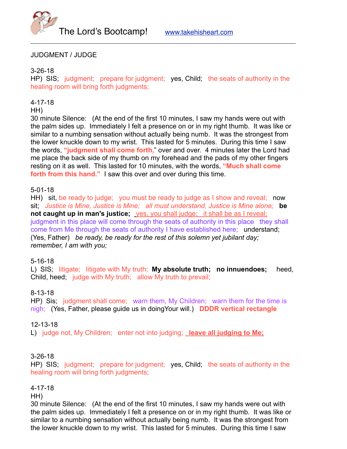

# JUDGMENT / JUDGE

### 3-26-18

HP) SIS; judgment; prepare for judgment; yes, Child; the seats of authority in the healing room will bring forth judgments;

### 4-17-18

#### HH)

30 minute Silence: (At the end of the first 10 minutes, I saw my hands were out with the palm sides up. Immediately I felt a presence on or in my right thumb. It was like or similar to a numbing sensation without actually being numb. It was the strongest from the lower knuckle down to my wrist. This lasted for 5 minutes. During this time I saw the words, **"judgment shall come forth,**" over and over. 4 minutes later the Lord had me place the back side of my thumb on my forehead and the pads of my other fingers resting on it as well. This lasted for 10 minutes, with the words, **"Much shall come forth from this hand."** I saw this over and over during this time.

### 5-01-18

HH) sit, be ready to judge; you must be ready to judge as I show and reveal; now sit; *Justice is Mine, Justice is Mine; all must understand, Justice is Mine alone;* **be not caught up in man's justice;** yes, you shall judge; it shall be as I reveal; judgment in this place will come through the seats of authority in this place they shall come from Me through the seats of authority I have established here; understand; (Yes, Father) *be ready, be ready for the rest of this solemn yet jubilant day; remember, I am with you;* 

### 5-16-18

L) SIS; litigate; litigate with My truth; **My absolute truth; no innuendoes;** heed, Child, heed; judge with My truth; allow My truth to prevail;

### 8-13-18

HP) Sis; judgment shall come; warn them, My Children; warn them for the time is nigh; (Yes, Father, please guide us in doingYour will.) **DDDR vertical rectangle**

### 12-13-18

L) judge not, My Children; enter not into judging; **leave all judging to Me;**

### 3-26-18

HP) SIS; judgment; prepare for judgment; yes, Child; the seats of authority in the healing room will bring forth judgments;

### 4-17-18

HH)

30 minute Silence: (At the end of the first 10 minutes, I saw my hands were out with the palm sides up. Immediately I felt a presence on or in my right thumb. It was like or similar to a numbing sensation without actually being numb. It was the strongest from the lower knuckle down to my wrist. This lasted for 5 minutes. During this time I saw